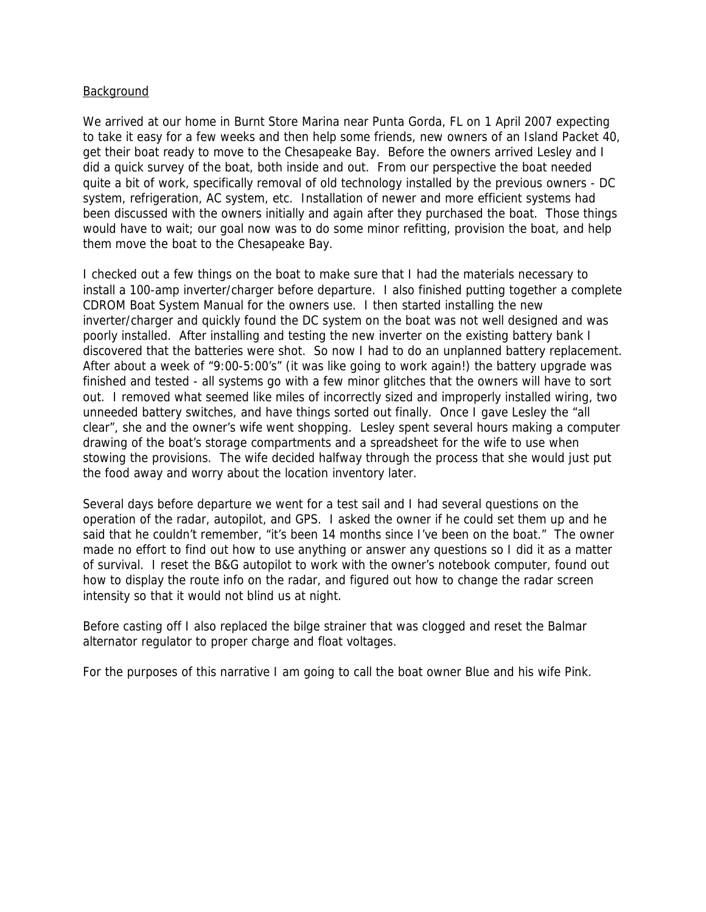## Background

We arrived at our home in Burnt Store Marina near Punta Gorda, FL on 1 April 2007 expecting to take it easy for a few weeks and then help some friends, new owners of an Island Packet 40, get their boat ready to move to the Chesapeake Bay. Before the owners arrived Lesley and I did a quick survey of the boat, both inside and out. From our perspective the boat needed quite a bit of work, specifically removal of old technology installed by the previous owners - DC system, refrigeration, AC system, etc. Installation of newer and more efficient systems had been discussed with the owners initially and again after they purchased the boat. Those things would have to wait; our goal now was to do some minor refitting, provision the boat, and help them move the boat to the Chesapeake Bay.

I checked out a few things on the boat to make sure that I had the materials necessary to install a 100-amp inverter/charger before departure. I also finished putting together a complete CDROM Boat System Manual for the owners use. I then started installing the new inverter/charger and quickly found the DC system on the boat was not well designed and was poorly installed. After installing and testing the new inverter on the existing battery bank I discovered that the batteries were shot. So now I had to do an unplanned battery replacement. After about a week of "9:00-5:00's" (it was like going to work again!) the battery upgrade was finished and tested - all systems go with a few minor glitches that the owners will have to sort out. I removed what seemed like miles of incorrectly sized and improperly installed wiring, two unneeded battery switches, and have things sorted out finally. Once I gave Lesley the "all clear", she and the owner's wife went shopping. Lesley spent several hours making a computer drawing of the boat's storage compartments and a spreadsheet for the wife to use when stowing the provisions. The wife decided halfway through the process that she would just put the food away and worry about the location inventory later.

Several days before departure we went for a test sail and I had several questions on the operation of the radar, autopilot, and GPS. I asked the owner if he could set them up and he said that he couldn't remember, "it's been 14 months since I've been on the boat." The owner made no effort to find out how to use anything or answer any questions so I did it as a matter of survival. I reset the B&G autopilot to work with the owner's notebook computer, found out how to display the route info on the radar, and figured out how to change the radar screen intensity so that it would not blind us at night.

Before casting off I also replaced the bilge strainer that was clogged and reset the Balmar alternator regulator to proper charge and float voltages.

For the purposes of this narrative I am going to call the boat owner Blue and his wife Pink.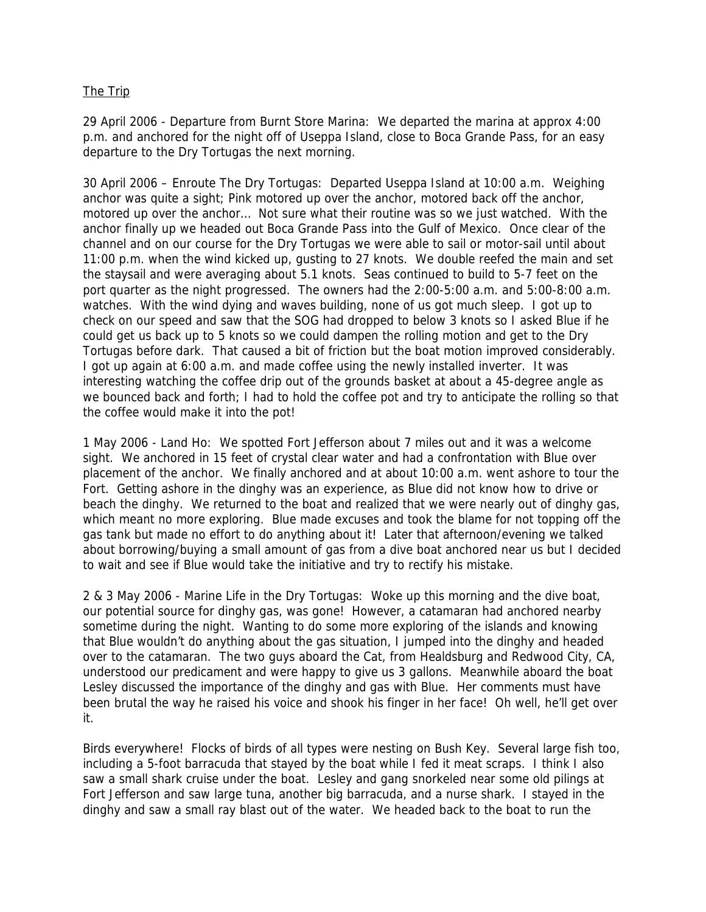## The Trip

29 April 2006 - Departure from Burnt Store Marina: We departed the marina at approx 4:00 p.m. and anchored for the night off of Useppa Island, close to Boca Grande Pass, for an easy departure to the Dry Tortugas the next morning.

30 April 2006 – Enroute The Dry Tortugas: Departed Useppa Island at 10:00 a.m. Weighing anchor was quite a sight; Pink motored up over the anchor, motored back off the anchor, motored up over the anchor… Not sure what their routine was so we just watched. With the anchor finally up we headed out Boca Grande Pass into the Gulf of Mexico. Once clear of the channel and on our course for the Dry Tortugas we were able to sail or motor-sail until about 11:00 p.m. when the wind kicked up, gusting to 27 knots. We double reefed the main and set the staysail and were averaging about 5.1 knots. Seas continued to build to 5-7 feet on the port quarter as the night progressed. The owners had the 2:00-5:00 a.m. and 5:00-8:00 a.m. watches. With the wind dying and waves building, none of us got much sleep. I got up to check on our speed and saw that the SOG had dropped to below 3 knots so I asked Blue if he could get us back up to 5 knots so we could dampen the rolling motion and get to the Dry Tortugas before dark. That caused a bit of friction but the boat motion improved considerably. I got up again at 6:00 a.m. and made coffee using the newly installed inverter. It was interesting watching the coffee drip out of the grounds basket at about a 45-degree angle as we bounced back and forth; I had to hold the coffee pot and try to anticipate the rolling so that the coffee would make it into the pot!

1 May 2006 - Land Ho: We spotted Fort Jefferson about 7 miles out and it was a welcome sight. We anchored in 15 feet of crystal clear water and had a confrontation with Blue over placement of the anchor. We finally anchored and at about 10:00 a.m. went ashore to tour the Fort. Getting ashore in the dinghy was an experience, as Blue did not know how to drive or beach the dinghy. We returned to the boat and realized that we were nearly out of dinghy gas, which meant no more exploring. Blue made excuses and took the blame for not topping off the gas tank but made no effort to do anything about it! Later that afternoon/evening we talked about borrowing/buying a small amount of gas from a dive boat anchored near us but I decided to wait and see if Blue would take the initiative and try to rectify his mistake.

2 & 3 May 2006 - Marine Life in the Dry Tortugas: Woke up this morning and the dive boat, our potential source for dinghy gas, was gone! However, a catamaran had anchored nearby sometime during the night. Wanting to do some more exploring of the islands and knowing that Blue wouldn't do anything about the gas situation, I jumped into the dinghy and headed over to the catamaran. The two guys aboard the Cat, from Healdsburg and Redwood City, CA, understood our predicament and were happy to give us 3 gallons. Meanwhile aboard the boat Lesley discussed the importance of the dinghy and gas with Blue. Her comments must have been brutal the way he raised his voice and shook his finger in her face! Oh well, he'll get over it.

Birds everywhere! Flocks of birds of all types were nesting on Bush Key. Several large fish too, including a 5-foot barracuda that stayed by the boat while I fed it meat scraps. I think I also saw a small shark cruise under the boat. Lesley and gang snorkeled near some old pilings at Fort Jefferson and saw large tuna, another big barracuda, and a nurse shark. I stayed in the dinghy and saw a small ray blast out of the water. We headed back to the boat to run the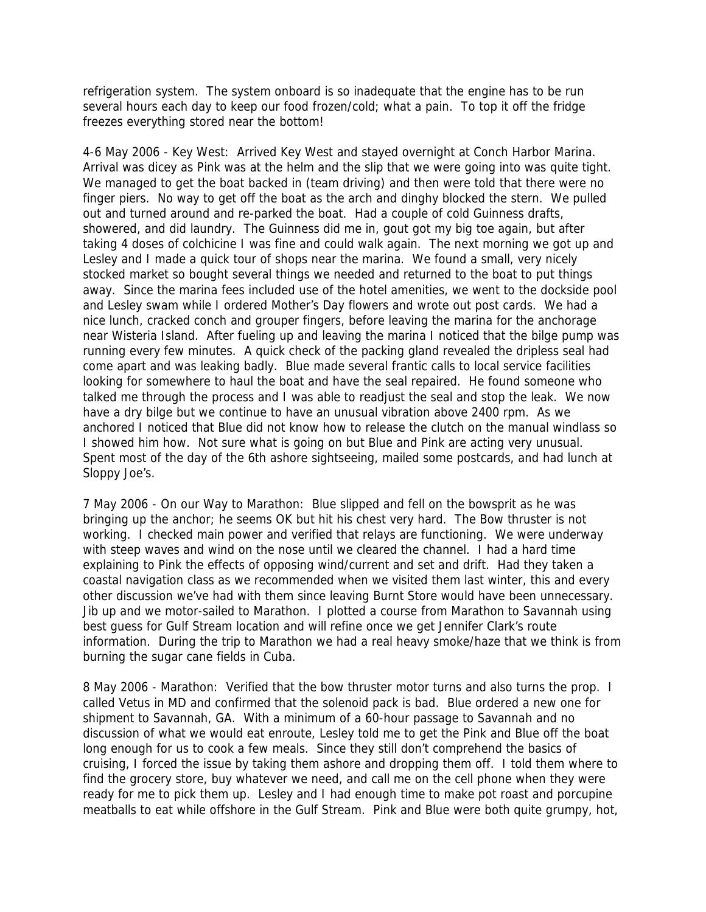refrigeration system. The system onboard is so inadequate that the engine has to be run several hours each day to keep our food frozen/cold; what a pain. To top it off the fridge freezes everything stored near the bottom!

4-6 May 2006 - Key West: Arrived Key West and stayed overnight at Conch Harbor Marina. Arrival was dicey as Pink was at the helm and the slip that we were going into was quite tight. We managed to get the boat backed in (team driving) and then were told that there were no finger piers. No way to get off the boat as the arch and dinghy blocked the stern. We pulled out and turned around and re-parked the boat. Had a couple of cold Guinness drafts, showered, and did laundry. The Guinness did me in, gout got my big toe again, but after taking 4 doses of colchicine I was fine and could walk again. The next morning we got up and Lesley and I made a quick tour of shops near the marina. We found a small, very nicely stocked market so bought several things we needed and returned to the boat to put things away. Since the marina fees included use of the hotel amenities, we went to the dockside pool and Lesley swam while I ordered Mother's Day flowers and wrote out post cards. We had a nice lunch, cracked conch and grouper fingers, before leaving the marina for the anchorage near Wisteria Island. After fueling up and leaving the marina I noticed that the bilge pump was running every few minutes. A quick check of the packing gland revealed the dripless seal had come apart and was leaking badly. Blue made several frantic calls to local service facilities looking for somewhere to haul the boat and have the seal repaired. He found someone who talked me through the process and I was able to readjust the seal and stop the leak. We now have a dry bilge but we continue to have an unusual vibration above 2400 rpm. As we anchored I noticed that Blue did not know how to release the clutch on the manual windlass so I showed him how. Not sure what is going on but Blue and Pink are acting very unusual. Spent most of the day of the 6th ashore sightseeing, mailed some postcards, and had lunch at Sloppy Joe's.

7 May 2006 - On our Way to Marathon: Blue slipped and fell on the bowsprit as he was bringing up the anchor; he seems OK but hit his chest very hard. The Bow thruster is not working. I checked main power and verified that relays are functioning. We were underway with steep waves and wind on the nose until we cleared the channel. I had a hard time explaining to Pink the effects of opposing wind/current and set and drift. Had they taken a coastal navigation class as we recommended when we visited them last winter, this and every other discussion we've had with them since leaving Burnt Store would have been unnecessary. Jib up and we motor-sailed to Marathon. I plotted a course from Marathon to Savannah using best guess for Gulf Stream location and will refine once we get Jennifer Clark's route information. During the trip to Marathon we had a real heavy smoke/haze that we think is from burning the sugar cane fields in Cuba.

8 May 2006 - Marathon: Verified that the bow thruster motor turns and also turns the prop. I called Vetus in MD and confirmed that the solenoid pack is bad. Blue ordered a new one for shipment to Savannah, GA. With a minimum of a 60-hour passage to Savannah and no discussion of what we would eat enroute, Lesley told me to get the Pink and Blue off the boat long enough for us to cook a few meals. Since they still don't comprehend the basics of cruising, I forced the issue by taking them ashore and dropping them off. I told them where to find the grocery store, buy whatever we need, and call me on the cell phone when they were ready for me to pick them up. Lesley and I had enough time to make pot roast and porcupine meatballs to eat while offshore in the Gulf Stream. Pink and Blue were both quite grumpy, hot,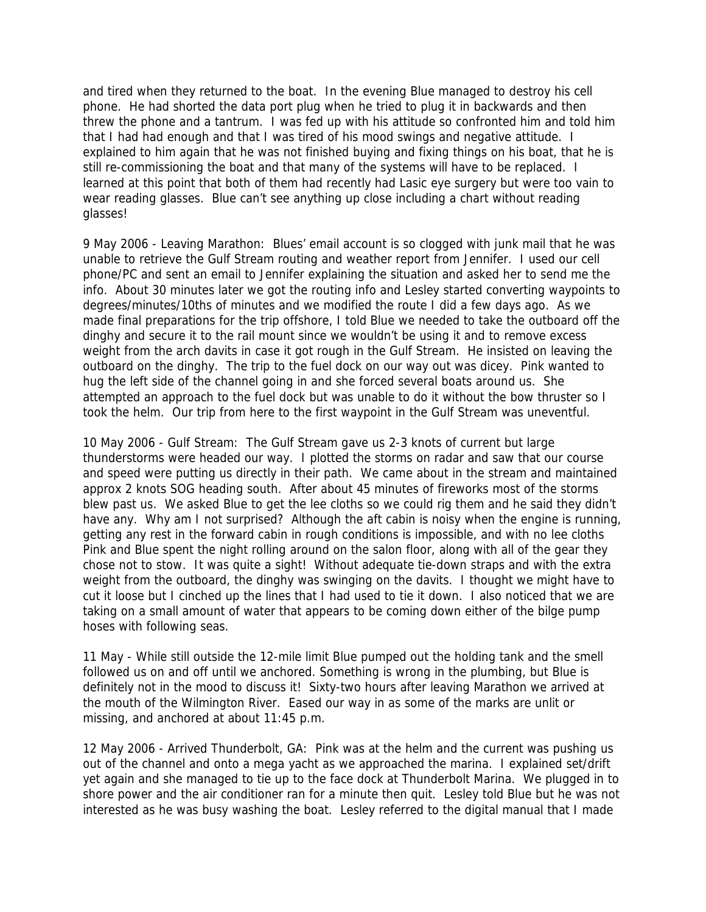and tired when they returned to the boat. In the evening Blue managed to destroy his cell phone. He had shorted the data port plug when he tried to plug it in backwards and then threw the phone and a tantrum. I was fed up with his attitude so confronted him and told him that I had had enough and that I was tired of his mood swings and negative attitude. I explained to him again that he was not finished buying and fixing things on his boat, that he is still re-commissioning the boat and that many of the systems will have to be replaced. I learned at this point that both of them had recently had Lasic eye surgery but were too vain to wear reading glasses. Blue can't see anything up close including a chart without reading glasses!

9 May 2006 - Leaving Marathon: Blues' email account is so clogged with junk mail that he was unable to retrieve the Gulf Stream routing and weather report from Jennifer. I used our cell phone/PC and sent an email to Jennifer explaining the situation and asked her to send me the info. About 30 minutes later we got the routing info and Lesley started converting waypoints to degrees/minutes/10ths of minutes and we modified the route I did a few days ago. As we made final preparations for the trip offshore, I told Blue we needed to take the outboard off the dinghy and secure it to the rail mount since we wouldn't be using it and to remove excess weight from the arch davits in case it got rough in the Gulf Stream. He insisted on leaving the outboard on the dinghy. The trip to the fuel dock on our way out was dicey. Pink wanted to hug the left side of the channel going in and she forced several boats around us. She attempted an approach to the fuel dock but was unable to do it without the bow thruster so I took the helm. Our trip from here to the first waypoint in the Gulf Stream was uneventful.

10 May 2006 - Gulf Stream: The Gulf Stream gave us 2-3 knots of current but large thunderstorms were headed our way. I plotted the storms on radar and saw that our course and speed were putting us directly in their path. We came about in the stream and maintained approx 2 knots SOG heading south. After about 45 minutes of fireworks most of the storms blew past us. We asked Blue to get the lee cloths so we could rig them and he said they didn't have any. Why am I not surprised? Although the aft cabin is noisy when the engine is running, getting any rest in the forward cabin in rough conditions is impossible, and with no lee cloths Pink and Blue spent the night rolling around on the salon floor, along with all of the gear they chose not to stow. It was quite a sight! Without adequate tie-down straps and with the extra weight from the outboard, the dinghy was swinging on the davits. I thought we might have to cut it loose but I cinched up the lines that I had used to tie it down. I also noticed that we are taking on a small amount of water that appears to be coming down either of the bilge pump hoses with following seas.

11 May - While still outside the 12-mile limit Blue pumped out the holding tank and the smell followed us on and off until we anchored. Something is wrong in the plumbing, but Blue is definitely not in the mood to discuss it! Sixty-two hours after leaving Marathon we arrived at the mouth of the Wilmington River. Eased our way in as some of the marks are unlit or missing, and anchored at about 11:45 p.m.

12 May 2006 - Arrived Thunderbolt, GA: Pink was at the helm and the current was pushing us out of the channel and onto a mega yacht as we approached the marina. I explained set/drift yet again and she managed to tie up to the face dock at Thunderbolt Marina. We plugged in to shore power and the air conditioner ran for a minute then quit. Lesley told Blue but he was not interested as he was busy washing the boat. Lesley referred to the digital manual that I made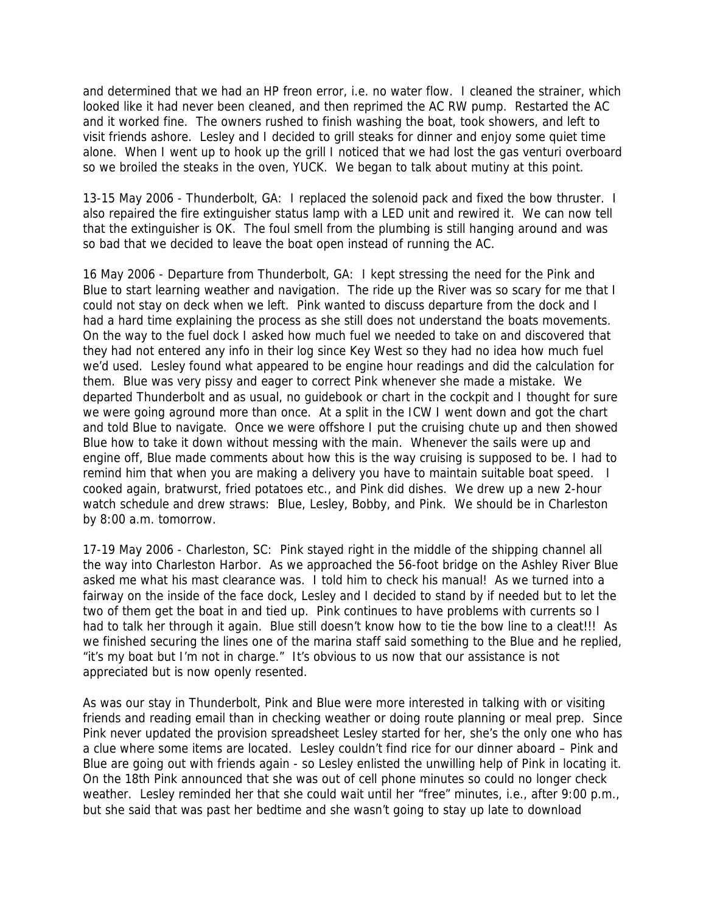and determined that we had an HP freon error, i.e. no water flow. I cleaned the strainer, which looked like it had never been cleaned, and then reprimed the AC RW pump. Restarted the AC and it worked fine. The owners rushed to finish washing the boat, took showers, and left to visit friends ashore. Lesley and I decided to grill steaks for dinner and enjoy some quiet time alone. When I went up to hook up the grill I noticed that we had lost the gas venturi overboard so we broiled the steaks in the oven, YUCK. We began to talk about mutiny at this point.

13-15 May 2006 - Thunderbolt, GA: I replaced the solenoid pack and fixed the bow thruster. I also repaired the fire extinguisher status lamp with a LED unit and rewired it. We can now tell that the extinguisher is OK. The foul smell from the plumbing is still hanging around and was so bad that we decided to leave the boat open instead of running the AC.

16 May 2006 - Departure from Thunderbolt, GA: I kept stressing the need for the Pink and Blue to start learning weather and navigation. The ride up the River was so scary for me that I could not stay on deck when we left. Pink wanted to discuss departure from the dock and I had a hard time explaining the process as she still does not understand the boats movements. On the way to the fuel dock I asked how much fuel we needed to take on and discovered that they had not entered any info in their log since Key West so they had no idea how much fuel we'd used. Lesley found what appeared to be engine hour readings and did the calculation for them. Blue was very pissy and eager to correct Pink whenever she made a mistake. We departed Thunderbolt and as usual, no guidebook or chart in the cockpit and I thought for sure we were going aground more than once. At a split in the ICW I went down and got the chart and told Blue to navigate. Once we were offshore I put the cruising chute up and then showed Blue how to take it down without messing with the main. Whenever the sails were up and engine off, Blue made comments about how this is the way cruising is supposed to be. I had to remind him that when you are making a delivery you have to maintain suitable boat speed. I cooked again, bratwurst, fried potatoes etc., and Pink did dishes. We drew up a new 2-hour watch schedule and drew straws: Blue, Lesley, Bobby, and Pink. We should be in Charleston by 8:00 a.m. tomorrow.

17-19 May 2006 - Charleston, SC: Pink stayed right in the middle of the shipping channel all the way into Charleston Harbor. As we approached the 56-foot bridge on the Ashley River Blue asked me what his mast clearance was. I told him to check his manual! As we turned into a fairway on the inside of the face dock, Lesley and I decided to stand by if needed but to let the two of them get the boat in and tied up. Pink continues to have problems with currents so I had to talk her through it again. Blue still doesn't know how to tie the bow line to a cleat!!! As we finished securing the lines one of the marina staff said something to the Blue and he replied, "it's my boat but I'm not in charge." It's obvious to us now that our assistance is not appreciated but is now openly resented.

As was our stay in Thunderbolt, Pink and Blue were more interested in talking with or visiting friends and reading email than in checking weather or doing route planning or meal prep. Since Pink never updated the provision spreadsheet Lesley started for her, she's the only one who has a clue where some items are located. Lesley couldn't find rice for our dinner aboard – Pink and Blue are going out with friends again - so Lesley enlisted the unwilling help of Pink in locating it. On the 18th Pink announced that she was out of cell phone minutes so could no longer check weather. Lesley reminded her that she could wait until her "free" minutes, i.e., after 9:00 p.m., but she said that was past her bedtime and she wasn't going to stay up late to download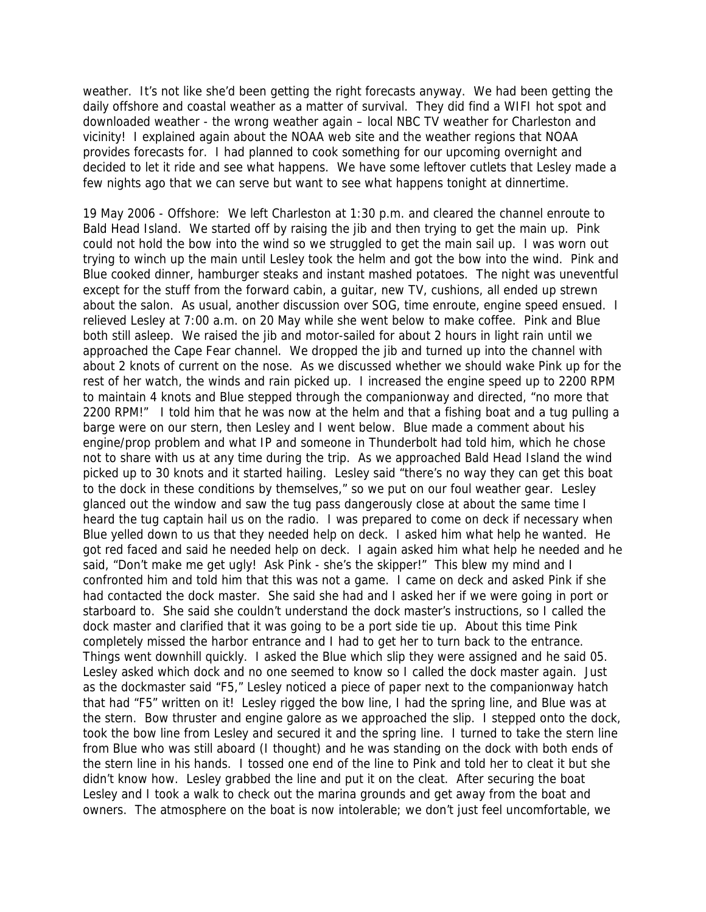weather. It's not like she'd been getting the right forecasts anyway. We had been getting the daily offshore and coastal weather as a matter of survival. They did find a WIFI hot spot and downloaded weather - the wrong weather again – local NBC TV weather for Charleston and vicinity! I explained again about the NOAA web site and the weather regions that NOAA provides forecasts for. I had planned to cook something for our upcoming overnight and decided to let it ride and see what happens. We have some leftover cutlets that Lesley made a few nights ago that we can serve but want to see what happens tonight at dinnertime.

19 May 2006 - Offshore: We left Charleston at 1:30 p.m. and cleared the channel enroute to Bald Head Island. We started off by raising the jib and then trying to get the main up. Pink could not hold the bow into the wind so we struggled to get the main sail up. I was worn out trying to winch up the main until Lesley took the helm and got the bow into the wind. Pink and Blue cooked dinner, hamburger steaks and instant mashed potatoes. The night was uneventful except for the stuff from the forward cabin, a guitar, new TV, cushions, all ended up strewn about the salon. As usual, another discussion over SOG, time enroute, engine speed ensued. I relieved Lesley at 7:00 a.m. on 20 May while she went below to make coffee. Pink and Blue both still asleep. We raised the jib and motor-sailed for about 2 hours in light rain until we approached the Cape Fear channel. We dropped the jib and turned up into the channel with about 2 knots of current on the nose. As we discussed whether we should wake Pink up for the rest of her watch, the winds and rain picked up. I increased the engine speed up to 2200 RPM to maintain 4 knots and Blue stepped through the companionway and directed, "no more that 2200 RPM!" I told him that he was now at the helm and that a fishing boat and a tug pulling a barge were on our stern, then Lesley and I went below. Blue made a comment about his engine/prop problem and what IP and someone in Thunderbolt had told him, which he chose not to share with us at any time during the trip. As we approached Bald Head Island the wind picked up to 30 knots and it started hailing. Lesley said "there's no way they can get this boat to the dock in these conditions by themselves," so we put on our foul weather gear. Lesley glanced out the window and saw the tug pass dangerously close at about the same time I heard the tug captain hail us on the radio. I was prepared to come on deck if necessary when Blue yelled down to us that they needed help on deck. I asked him what help he wanted. He got red faced and said he needed help on deck. I again asked him what help he needed and he said, "Don't make me get ugly! Ask Pink - she's the skipper!" This blew my mind and I confronted him and told him that this was not a game. I came on deck and asked Pink if she had contacted the dock master. She said she had and I asked her if we were going in port or starboard to. She said she couldn't understand the dock master's instructions, so I called the dock master and clarified that it was going to be a port side tie up. About this time Pink completely missed the harbor entrance and I had to get her to turn back to the entrance. Things went downhill quickly. I asked the Blue which slip they were assigned and he said 05. Lesley asked which dock and no one seemed to know so I called the dock master again. Just as the dockmaster said "F5," Lesley noticed a piece of paper next to the companionway hatch that had "F5" written on it! Lesley rigged the bow line, I had the spring line, and Blue was at the stern. Bow thruster and engine galore as we approached the slip. I stepped onto the dock, took the bow line from Lesley and secured it and the spring line. I turned to take the stern line from Blue who was still aboard (I thought) and he was standing on the dock with both ends of the stern line in his hands. I tossed one end of the line to Pink and told her to cleat it but she didn't know how. Lesley grabbed the line and put it on the cleat. After securing the boat Lesley and I took a walk to check out the marina grounds and get away from the boat and owners. The atmosphere on the boat is now intolerable; we don't just feel uncomfortable, we